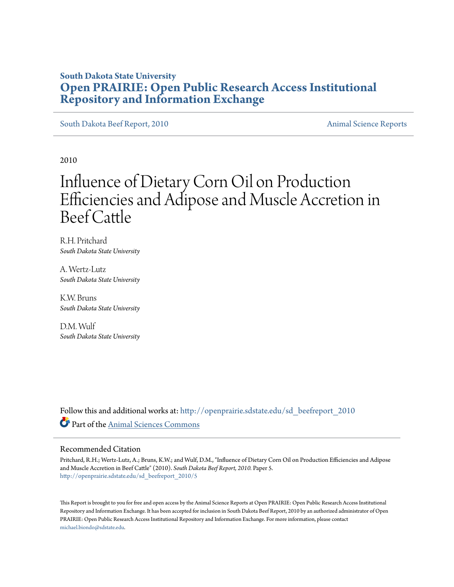## **South Dakota State University [Open PRAIRIE: Open Public Research Access Institutional](http://openprairie.sdstate.edu?utm_source=openprairie.sdstate.edu%2Fsd_beefreport_2010%2F5&utm_medium=PDF&utm_campaign=PDFCoverPages) [Repository and Information Exchange](http://openprairie.sdstate.edu?utm_source=openprairie.sdstate.edu%2Fsd_beefreport_2010%2F5&utm_medium=PDF&utm_campaign=PDFCoverPages)**

[South Dakota Beef Report, 2010](http://openprairie.sdstate.edu/sd_beefreport_2010?utm_source=openprairie.sdstate.edu%2Fsd_beefreport_2010%2F5&utm_medium=PDF&utm_campaign=PDFCoverPages) **[Animal Science Reports](http://openprairie.sdstate.edu/ans_reports?utm_source=openprairie.sdstate.edu%2Fsd_beefreport_2010%2F5&utm_medium=PDF&utm_campaign=PDFCoverPages)** Animal Science Reports

2010

# Influence of Dietary Corn Oil on Production Efficiencies and Adipose and Muscle Accretion in Beef Cattle

R.H. Pritchard *South Dakota State University*

A. Wertz-Lutz *South Dakota State University*

K.W. Bruns *South Dakota State University*

D.M. Wulf *South Dakota State University*

Follow this and additional works at: [http://openprairie.sdstate.edu/sd\\_beefreport\\_2010](http://openprairie.sdstate.edu/sd_beefreport_2010?utm_source=openprairie.sdstate.edu%2Fsd_beefreport_2010%2F5&utm_medium=PDF&utm_campaign=PDFCoverPages) Part of the [Animal Sciences Commons](http://network.bepress.com/hgg/discipline/76?utm_source=openprairie.sdstate.edu%2Fsd_beefreport_2010%2F5&utm_medium=PDF&utm_campaign=PDFCoverPages)

#### Recommended Citation

Pritchard, R.H.; Wertz-Lutz, A.; Bruns, K.W.; and Wulf, D.M., "Influence of Dietary Corn Oil on Production Efficiencies and Adipose and Muscle Accretion in Beef Cattle" (2010). *South Dakota Beef Report, 2010.* Paper 5. [http://openprairie.sdstate.edu/sd\\_beefreport\\_2010/5](http://openprairie.sdstate.edu/sd_beefreport_2010/5?utm_source=openprairie.sdstate.edu%2Fsd_beefreport_2010%2F5&utm_medium=PDF&utm_campaign=PDFCoverPages)

This Report is brought to you for free and open access by the Animal Science Reports at Open PRAIRIE: Open Public Research Access Institutional Repository and Information Exchange. It has been accepted for inclusion in South Dakota Beef Report, 2010 by an authorized administrator of Open PRAIRIE: Open Public Research Access Institutional Repository and Information Exchange. For more information, please contact [michael.biondo@sdstate.edu](mailto:michael.biondo@sdstate.edu).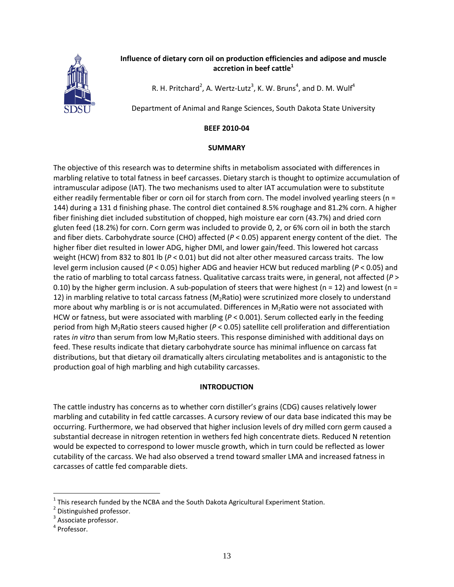

### **Influence of dietary corn oil on production efficiencies and adipose and muscle accretion in beef cattle<sup>1</sup>**

R. H. Pritchard<sup>2</sup>, A. Wertz-Lutz<sup>3</sup>, K. W. Bruns<sup>4</sup>, and D. M. Wulf<sup>4</sup>

Department of Animal and Range Sciences, South Dakota State University

#### **BEEF 2010‐04**

#### **SUMMARY**

The objective of this research was to determine shifts in metabolism associated with differences in marbling relative to total fatness in beef carcasses. Dietary starch is thought to optimize accumulation of intramuscular adipose (IAT). The two mechanisms used to alter IAT accumulation were to substitute either readily fermentable fiber or corn oil for starch from corn. The model involved yearling steers (n = 144) during a 131 d finishing phase. The control diet contained 8.5% roughage and 81.2% corn. A higher fiber finishing diet included substitution of chopped, high moisture ear corn (43.7%) and dried corn gluten feed (18.2%) for corn. Corn germ was included to provide 0, 2, or 6% corn oil in both the starch and fiber diets. Carbohydrate source (CHO) affected (*P* < 0.05) apparent energy content of the diet. The higher fiber diet resulted in lower ADG, higher DMI, and lower gain/feed. This lowered hot carcass weight (HCW) from 832 to 801 lb ( $P < 0.01$ ) but did not alter other measured carcass traits. The low level germ inclusion caused (*P* < 0.05) higher ADG and heavier HCW but reduced marbling (*P* < 0.05) and the ratio of marbling to total carcass fatness. Qualitative carcass traits were, in general, not affected (*P* > 0.10) by the higher germ inclusion. A sub-population of steers that were highest ( $n = 12$ ) and lowest ( $n =$ 12) in marbling relative to total carcass fatness ( $M_2$ Ratio) were scrutinized more closely to understand more about why marbling is or is not accumulated. Differences in  $M_2$ Ratio were not associated with HCW or fatness, but were associated with marbling (*P* < 0.001). Serum collected early in the feeding period from high M2Ratio steers caused higher (*P* < 0.05) satellite cell proliferation and differentiation rates *in vitro* than serum from low M2Ratio steers. This response diminished with additional days on feed. These results indicate that dietary carbohydrate source has minimal influence on carcass fat distributions, but that dietary oil dramatically alters circulating metabolites and is antagonistic to the production goal of high marbling and high cutability carcasses.

#### **INTRODUCTION**

The cattle industry has concerns as to whether corn distiller's grains (CDG) causes relatively lower marbling and cutability in fed cattle carcasses. A cursory review of our data base indicated this may be occurring. Furthermore, we had observed that higher inclusion levels of dry milled corn germ caused a substantial decrease in nitrogen retention in wethers fed high concentrate diets. Reduced N retention would be expected to correspond to lower muscle growth, which in turn could be reflected as lower cutability of the carcass. We had also observed a trend toward smaller LMA and increased fatness in carcasses of cattle fed comparable diets.

 $\overline{a}$ 

<sup>&</sup>lt;sup>1</sup> This research funded by the NCBA and the South Dakota Agricultural Experiment Station.<br>
<sup>2</sup> Distinguished professor.<br>
<sup>3</sup> Associate professor.<br>
<sup>4</sup> Professor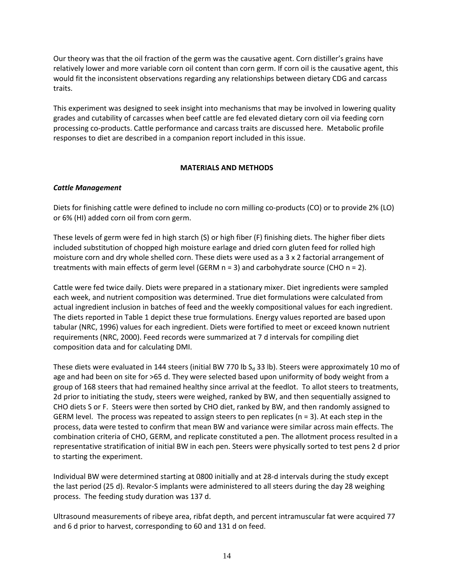Our theory was that the oil fraction of the germ was the causative agent. Corn distiller's grains have relatively lower and more variable corn oil content than corn germ. If corn oil is the causative agent, this would fit the inconsistent observations regarding any relationships between dietary CDG and carcass traits.

This experiment was designed to seek insight into mechanisms that may be involved in lowering quality grades and cutability of carcasses when beef cattle are fed elevated dietary corn oil via feeding corn processing co‐products. Cattle performance and carcass traits are discussed here. Metabolic profile responses to diet are described in a companion report included in this issue.

#### **MATERIALS AND METHODS**

#### *Cattle Management*

Diets for finishing cattle were defined to include no corn milling co-products (CO) or to provide 2% (LO) or 6% (HI) added corn oil from corn germ.

These levels of germ were fed in high starch (S) or high fiber (F) finishing diets. The higher fiber diets included substitution of chopped high moisture earlage and dried corn gluten feed for rolled high moisture corn and dry whole shelled corn. These diets were used as a 3 x 2 factorial arrangement of treatments with main effects of germ level (GERM n = 3) and carbohydrate source (CHO n = 2).

Cattle were fed twice daily. Diets were prepared in a stationary mixer. Diet ingredients were sampled each week, and nutrient composition was determined. True diet formulations were calculated from actual ingredient inclusion in batches of feed and the weekly compositional values for each ingredient. The diets reported in Table 1 depict these true formulations. Energy values reported are based upon tabular (NRC, 1996) values for each ingredient. Diets were fortified to meet or exceed known nutrient requirements (NRC, 2000). Feed records were summarized at 7 d intervals for compiling diet composition data and for calculating DMI.

These diets were evaluated in 144 steers (initial BW 770 lb  $S_d$  33 lb). Steers were approximately 10 mo of age and had been on site for >65 d. They were selected based upon uniformity of body weight from a group of 168 steers that had remained healthy since arrival at the feedlot. To allot steers to treatments, 2d prior to initiating the study, steers were weighed, ranked by BW, and then sequentially assigned to CHO diets S or F. Steers were then sorted by CHO diet, ranked by BW, and then randomly assigned to GERM level. The process was repeated to assign steers to pen replicates ( $n = 3$ ). At each step in the process, data were tested to confirm that mean BW and variance were similar across main effects. The combination criteria of CHO, GERM, and replicate constituted a pen. The allotment process resulted in a representative stratification of initial BW in each pen. Steers were physically sorted to test pens 2 d prior to starting the experiment.

Individual BW were determined starting at 0800 initially and at 28‐d intervals during the study except the last period (25 d). Revalor‐S implants were administered to all steers during the day 28 weighing process. The feeding study duration was 137 d.

Ultrasound measurements of ribeye area, ribfat depth, and percent intramuscular fat were acquired 77 and 6 d prior to harvest, corresponding to 60 and 131 d on feed.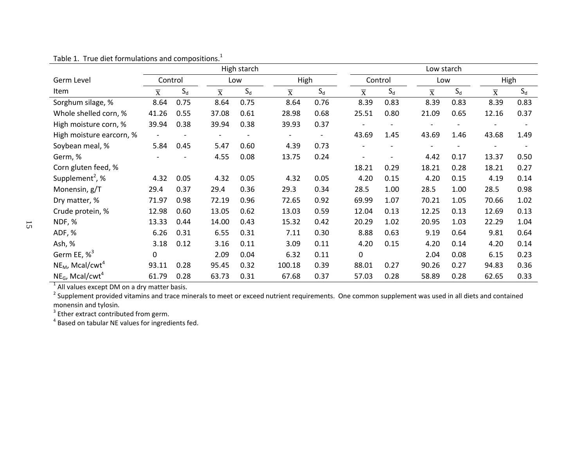| Germ Level<br>Item               |                         |         |                         |       |                         |       |                         |         |                         |                              |                         |       |  |
|----------------------------------|-------------------------|---------|-------------------------|-------|-------------------------|-------|-------------------------|---------|-------------------------|------------------------------|-------------------------|-------|--|
|                                  |                         | Control |                         | Low   |                         | High  |                         | Control |                         | Low                          |                         | High  |  |
|                                  | $\overline{\mathbf{x}}$ | $S_d$   | $\overline{\mathbf{x}}$ | $S_d$ | $\overline{\mathrm{x}}$ | $S_d$ | $\overline{\textbf{X}}$ | $S_d$   | $\overline{\textbf{X}}$ | $S_d$                        | $\overline{\mathbf{x}}$ | $S_d$ |  |
| Sorghum silage, %                | 8.64                    | 0.75    | 8.64                    | 0.75  | 8.64                    | 0.76  | 8.39                    | 0.83    | 8.39                    | 0.83                         | 8.39                    | 0.83  |  |
| Whole shelled corn, %            | 41.26                   | 0.55    | 37.08                   | 0.61  | 28.98                   | 0.68  | 25.51                   | 0.80    | 21.09                   | 0.65                         | 12.16                   | 0.37  |  |
| High moisture corn, %            | 39.94                   | 0.38    | 39.94                   | 0.38  | 39.93                   | 0.37  |                         |         |                         |                              |                         |       |  |
| High moisture earcorn, %         |                         |         |                         |       |                         |       | 43.69                   | 1.45    | 43.69                   | 1.46                         | 43.68                   | 1.49  |  |
| Soybean meal, %                  | 5.84                    | 0.45    | 5.47                    | 0.60  | 4.39                    | 0.73  |                         |         |                         | $\qquad \qquad \blacksquare$ |                         |       |  |
| Germ, %                          |                         |         | 4.55                    | 0.08  | 13.75                   | 0.24  |                         |         | 4.42                    | 0.17                         | 13.37                   | 0.50  |  |
| Corn gluten feed, %              |                         |         |                         |       |                         |       | 18.21                   | 0.29    | 18.21                   | 0.28                         | 18.21                   | 0.27  |  |
| Supplement <sup>2</sup> , %      | 4.32                    | 0.05    | 4.32                    | 0.05  | 4.32                    | 0.05  | 4.20                    | 0.15    | 4.20                    | 0.15                         | 4.19                    | 0.14  |  |
| Monensin, g/T                    | 29.4                    | 0.37    | 29.4                    | 0.36  | 29.3                    | 0.34  | 28.5                    | 1.00    | 28.5                    | 1.00                         | 28.5                    | 0.98  |  |
| Dry matter, %                    | 71.97                   | 0.98    | 72.19                   | 0.96  | 72.65                   | 0.92  | 69.99                   | 1.07    | 70.21                   | 1.05                         | 70.66                   | 1.02  |  |
| Crude protein, %                 | 12.98                   | 0.60    | 13.05                   | 0.62  | 13.03                   | 0.59  | 12.04                   | 0.13    | 12.25                   | 0.13                         | 12.69                   | 0.13  |  |
| NDF, %                           | 13.33                   | 0.44    | 14.00                   | 0.43  | 15.32                   | 0.42  | 20.29                   | 1.02    | 20.95                   | 1.03                         | 22.29                   | 1.04  |  |
| ADF, %                           | 6.26                    | 0.31    | 6.55                    | 0.31  | 7.11                    | 0.30  | 8.88                    | 0.63    | 9.19                    | 0.64                         | 9.81                    | 0.64  |  |
| Ash, %                           | 3.18                    | 0.12    | 3.16                    | 0.11  | 3.09                    | 0.11  | 4.20                    | 0.15    | 4.20                    | 0.14                         | 4.20                    | 0.14  |  |
| Germ EE, $\%^3$                  | $\mathbf 0$             |         | 2.09                    | 0.04  | 6.32                    | 0.11  | $\Omega$                |         | 2.04                    | 0.08                         | 6.15                    | 0.23  |  |
| $NE_{M}$ , Mcal/cwt <sup>4</sup> | 93.11                   | 0.28    | 95.45                   | 0.32  | 100.18                  | 0.39  | 88.01                   | 0.27    | 90.26                   | 0.27                         | 94.83                   | 0.36  |  |
| $NE_G$ , Mcal/cwt <sup>4</sup>   | 61.79                   | 0.28    | 63.73                   | 0.31  | 67.68                   | 0.37  | 57.03                   | 0.28    | 58.89                   | 0.28                         | 62.65                   | 0.33  |  |

Table 1. True diet formulations and compositions.<sup>1</sup>

monensin and tylosin.

 $^{\rm 3}$  Ether extract contributed from germ.<br><sup>4</sup> Based on tabular NE values for ingredients fed.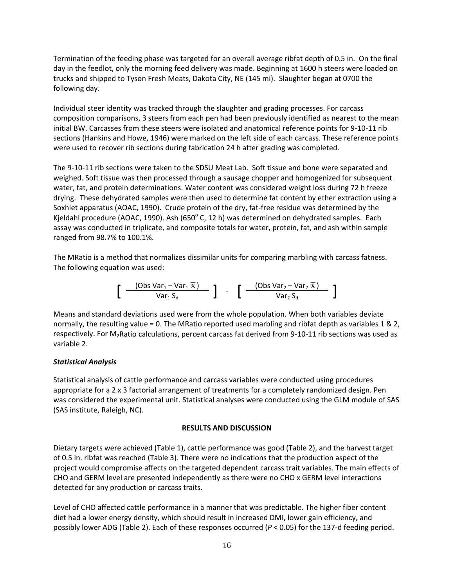Termination of the feeding phase was targeted for an overall average ribfat depth of 0.5 in. On the final day in the feedlot, only the morning feed delivery was made. Beginning at 1600 h steers were loaded on trucks and shipped to Tyson Fresh Meats, Dakota City, NE (145 mi). Slaughter began at 0700 the following day.

Individual steer identity was tracked through the slaughter and grading processes. For carcass composition comparisons, 3 steers from each pen had been previously identified as nearest to the mean initial BW. Carcasses from these steers were isolated and anatomical reference points for 9‐10‐11 rib sections (Hankins and Howe, 1946) were marked on the left side of each carcass. These reference points were used to recover rib sections during fabrication 24 h after grading was completed.

The 9‐10‐11 rib sections were taken to the SDSU Meat Lab. Soft tissue and bone were separated and weighed. Soft tissue was then processed through a sausage chopper and homogenized for subsequent water, fat, and protein determinations. Water content was considered weight loss during 72 h freeze drying. These dehydrated samples were then used to determine fat content by ether extraction using a Soxhlet apparatus (AOAC, 1990). Crude protein of the dry, fat‐free residue was determined by the Kjeldahl procedure (AOAC, 1990). Ash (650 $^{\circ}$  C, 12 h) was determined on dehydrated samples. Each assay was conducted in triplicate, and composite totals for water, protein, fat, and ash within sample ranged from 98.7% to 100.1%.

The MRatio is a method that normalizes dissimilar units for comparing marbling with carcass fatness. The following equation was used:

$$
\left[\begin{array}{cc} \frac{(\text{Obs Var}_1 - \text{Var}_1 \overline{x})}{\text{Var}_1 S_d} & \end{array}\right] - \left[\begin{array}{cc} \frac{(\text{Obs Var}_2 - \text{Var}_2 \overline{x})}{\text{Var}_2 S_d} \end{array}\right]
$$

Means and standard deviations used were from the whole population. When both variables deviate normally, the resulting value = 0. The MRatio reported used marbling and ribfat depth as variables 1 & 2, respectively. For M<sub>2</sub>Ratio calculations, percent carcass fat derived from 9-10-11 rib sections was used as variable 2.

#### *Statistical Analysis*

Statistical analysis of cattle performance and carcass variables were conducted using procedures appropriate for a 2 x 3 factorial arrangement of treatments for a completely randomized design. Pen was considered the experimental unit. Statistical analyses were conducted using the GLM module of SAS (SAS institute, Raleigh, NC).

#### **RESULTS AND DISCUSSION**

Dietary targets were achieved (Table 1), cattle performance was good (Table 2), and the harvest target of 0.5 in. ribfat was reached (Table 3). There were no indications that the production aspect of the project would compromise affects on the targeted dependent carcass trait variables. The main effects of CHO and GERM level are presented independently as there were no CHO x GERM level interactions detected for any production or carcass traits.

Level of CHO affected cattle performance in a manner that was predictable. The higher fiber content diet had a lower energy density, which should result in increased DMI, lower gain efficiency, and possibly lower ADG (Table 2). Each of these responses occurred (*P* < 0.05) for the 137‐d feeding period.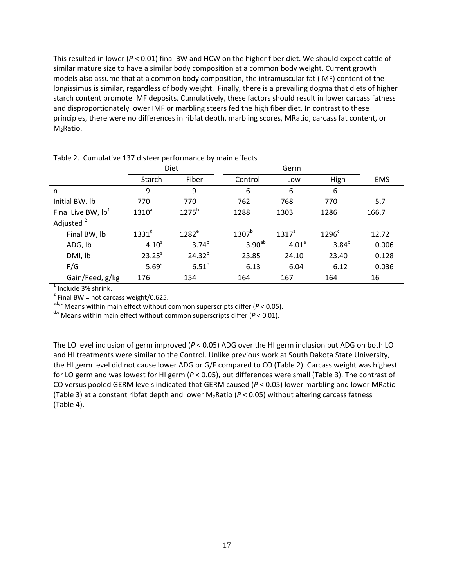This resulted in lower (*P* < 0.01) final BW and HCW on the higher fiber diet. We should expect cattle of similar mature size to have a similar body composition at a common body weight. Current growth models also assume that at a common body composition, the intramuscular fat (IMF) content of the longissimus is similar, regardless of body weight. Finally, there is a prevailing dogma that diets of higher starch content promote IMF deposits. Cumulatively, these factors should result in lower carcass fatness and disproportionately lower IMF or marbling steers fed the high fiber diet. In contrast to these principles, there were no differences in ribfat depth, marbling scores, MRatio, carcass fat content, or M<sub>2</sub>Ratio.

|                       |                   | <b>Diet</b>       |                    | Germ              |            |       |  |  |
|-----------------------|-------------------|-------------------|--------------------|-------------------|------------|-------|--|--|
|                       | Starch            | Fiber             | Control            | Low               | High       | EMS   |  |  |
| n                     | 9                 | 9                 | 6                  | 6                 | 6          |       |  |  |
| Initial BW, lb        | 770               | 770               | 762                | 768               | 770        | 5.7   |  |  |
| Final Live BW, $Ib1$  | $1310^a$          | $1275^b$          | 1288               | 1303              | 1286       | 166.7 |  |  |
| Adjusted <sup>2</sup> |                   |                   |                    |                   |            |       |  |  |
| Final BW, lb          | 1331 <sup>d</sup> | $1282^e$          | $1307^b$           | 1317 <sup>a</sup> | $1296^c$   | 12.72 |  |  |
| ADG, lb               | $4.10^{a}$        | $3.74^{b}$        | 3.90 <sup>ab</sup> | 4.01 <sup>a</sup> | $3.84^{b}$ | 0.006 |  |  |
| DMI, lb               | $23.25^a$         | $24.32^{b}$       | 23.85              | 24.10             | 23.40      | 0.128 |  |  |
| F/G                   | 5.69 <sup>a</sup> | 6.51 <sup>b</sup> | 6.13               | 6.04              | 6.12       | 0.036 |  |  |
| Gain/Feed, g/kg       | 176               | 154               | 164                | 167               | 164        | 16    |  |  |

Table 2. Cumulative 137 d steer performance by main effects

<sup>1</sup> Include 3% shrink.<br><sup>2</sup> Final BW = hot carcass weight/0.625.

a,b,c Means within main effect without common superscripts differ (P < 0.05).

d,e Means within main effect without common superscripts differ (*P* < 0.01).

The LO level inclusion of germ improved (*P* < 0.05) ADG over the HI germ inclusion but ADG on both LO and HI treatments were similar to the Control. Unlike previous work at South Dakota State University, the HI germ level did not cause lower ADG or G/F compared to CO (Table 2). Carcass weight was highest for LO germ and was lowest for HI germ (*P* < 0.05), but differences were small (Table 3). The contrast of CO versus pooled GERM levels indicated that GERM caused (*P* < 0.05) lower marbling and lower MRatio (Table 3) at a constant ribfat depth and lower M<sub>2</sub>Ratio ( $P < 0.05$ ) without altering carcass fatness (Table 4).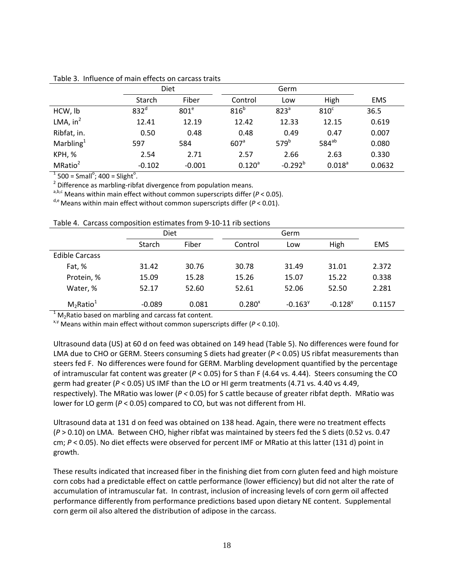|                     | Diet             |                  |                  |                  |                    |            |
|---------------------|------------------|------------------|------------------|------------------|--------------------|------------|
|                     | Starch           | Fiber            | Control          | Low              | High               | <b>EMS</b> |
| HCW, lb             | 832 <sup>d</sup> | 801 <sup>e</sup> | 816 <sup>b</sup> | 823 <sup>a</sup> | 810 <sup>c</sup>   | 36.5       |
| LMA, $in^2$         | 12.41            | 12.19            | 12.42            | 12.33            | 12.15              | 0.619      |
| Ribfat, in.         | 0.50             | 0.48             | 0.48             | 0.49             | 0.47               | 0.007      |
| Marbling $1$        | 597              | 584              | 607 <sup>a</sup> | 579 <sup>b</sup> | $584^{ab}$         | 0.080      |
| KPH, %              | 2.54             | 2.71             | 2.57             | 2.66             | 2.63               | 0.330      |
| MRatio <sup>2</sup> | $-0.102$         | $-0.001$         | $0.120^{a}$      | $-0.292^{b}$     | 0.018 <sup>a</sup> | 0.0632     |

Table 3. Influence of main effects on carcass traits

 $^1$  500 = Small $^{\circ}$ ; 400 = Slight $^{\circ}$ 

 $2$  Difference as marbling-ribfat divergence from population means.

a,b,c Means within main effect without common superscripts differ  $(P < 0.05)$ .

 $^{\text{d,e}}$  Means within main effect without common superscripts differ ( $P < 0.01$ ).

|  |  | Table 4. Carcass composition estimates from 9-10-11 rib sections |  |  |  |  |  |
|--|--|------------------------------------------------------------------|--|--|--|--|--|
|--|--|------------------------------------------------------------------|--|--|--|--|--|

|                          | Diet          |       |             |                       |                       |            |
|--------------------------|---------------|-------|-------------|-----------------------|-----------------------|------------|
|                          | <b>Starch</b> | Fiber | Control     | Low                   | High                  | <b>EMS</b> |
| <b>Edible Carcass</b>    |               |       |             |                       |                       |            |
| Fat, %                   | 31.42         | 30.76 | 30.78       | 31.49                 | 31.01                 | 2.372      |
| Protein, %               | 15.09         | 15.28 | 15.26       | 15.07                 | 15.22                 | 0.338      |
| Water, %                 | 52.17         | 52.60 | 52.61       | 52.06                 | 52.50                 | 2.281      |
| $M_2$ Ratio <sup>1</sup> | $-0.089$      | 0.081 | $0.280^{x}$ | $-0.163$ <sup>y</sup> | $-0.128$ <sup>y</sup> | 0.1157     |

 $1 \text{ M}_2$ Ratio based on marbling and carcass fat content.<br><sup>x,y</sup> Means within main effect without common superscripts differ (*P* < 0.10).

Ultrasound data (US) at 60 d on feed was obtained on 149 head (Table 5). No differences were found for LMA due to CHO or GERM. Steers consuming S diets had greater ( $P < 0.05$ ) US ribfat measurements than steers fed F. No differences were found for GERM. Marbling development quantified by the percentage of intramuscular fat content was greater (*P* < 0.05) for S than F (4.64 vs. 4.44). Steers consuming the CO germ had greater (*P* < 0.05) US IMF than the LO or HI germ treatments (4.71 vs. 4.40 vs 4.49, respectively). The MRatio was lower (*P <* 0.05) for S cattle because of greater ribfat depth. MRatio was lower for LO germ ( $P < 0.05$ ) compared to CO, but was not different from HI.

Ultrasound data at 131 d on feed was obtained on 138 head. Again, there were no treatment effects (*P* > 0.10) on LMA. Between CHO, higher ribfat was maintained by steers fed the S diets (0.52 vs. 0.47 cm; *P* < 0.05). No diet effects were observed for percent IMF or MRatio at this latter (131 d) point in growth.

These results indicated that increased fiber in the finishing diet from corn gluten feed and high moisture corn cobs had a predictable effect on cattle performance (lower efficiency) but did not alter the rate of accumulation of intramuscular fat. In contrast, inclusion of increasing levels of corn germ oil affected performance differently from performance predictions based upon dietary NE content. Supplemental corn germ oil also altered the distribution of adipose in the carcass.